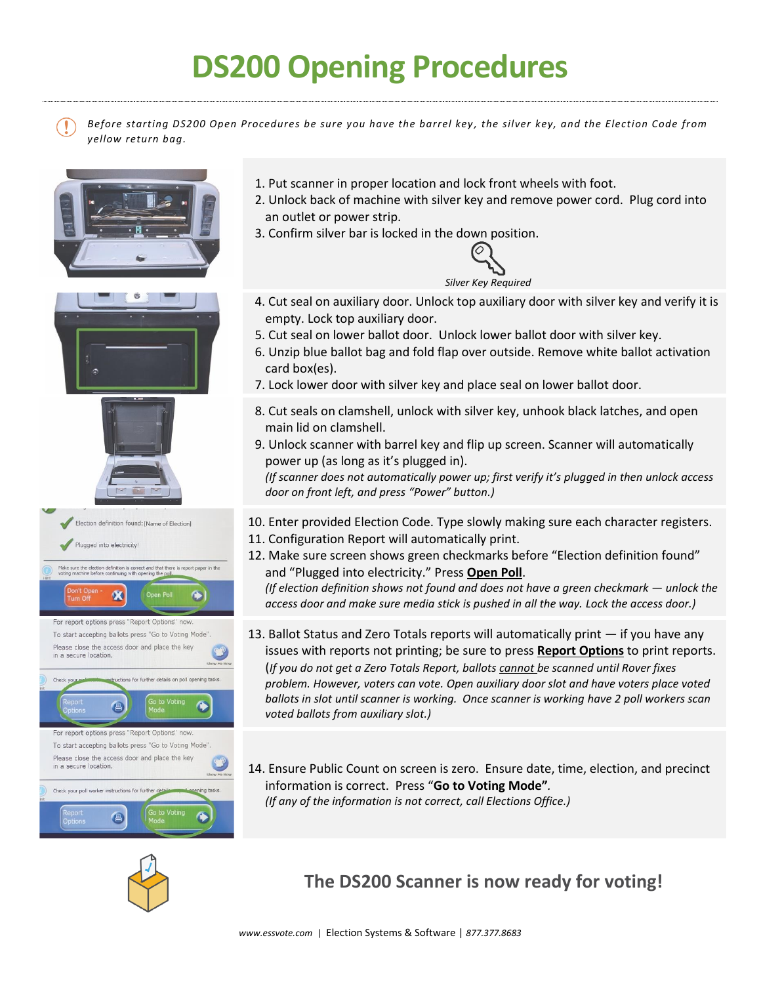## **DS200 Opening Procedures**

*Before starting DS200 Open Procedures be sure you have the barrel key , the silver key, and the Election Code from yellow return bag.*



- 1. Put scanner in proper location and lock front wheels with foot.
- 2. Unlock back of machine with silver key and remove power cord. Plug cord into an outlet or power strip.
- 3. Confirm silver bar is locked in the down position.



- 4. Cut seal on auxiliary door. Unlock top auxiliary door with silver key and verify it is empty. Lock top auxiliary door.
- 5. Cut seal on lower ballot door. Unlock lower ballot door with silver key.
- 6. Unzip blue ballot bag and fold flap over outside. Remove white ballot activation card box(es).
- 7. Lock lower door with silver key and place seal on lower ballot door.
- 8. Cut seals on clamshell, unlock with silver key, unhook black latches, and open main lid on clamshell.
- 9. Unlock scanner with barrel key and flip up screen. Scanner will automatically power up (as long as it's plugged in). *(If scanner does not automatically power up; first verify it's plugged in then unlock access door on front left, and press "Power" button.)*
- 10. Enter provided Election Code. Type slowly making sure each character registers.
- 11. Configuration Report will automatically print.
- 12. Make sure screen shows green checkmarks before "Election definition found" and "Plugged into electricity." Press **Open Poll**.

*(If election definition shows not found and does not have a green checkmark — unlock the access door and make sure media stick is pushed in all the way. Lock the access door.)*

- 13. Ballot Status and Zero Totals reports will automatically print if you have any issues with reports not printing; be sure to press **Report Options** to print reports. (*If you do not get a Zero Totals Report, ballots cannot be scanned until Rover fixes problem. However, voters can vote. Open auxiliary door slot and have voters place voted ballots in slot until scanner is working. Once scanner is working have 2 poll workers scan voted ballots from auxiliary slot.)*
- 14. Ensure Public Count on screen is zero. Ensure date, time, election, and precinct information is correct. Press "**Go to Voting Mode"***. (If any of the information is not correct, call Elections Office.)*



## **The DS200 Scanner is now ready for voting!**